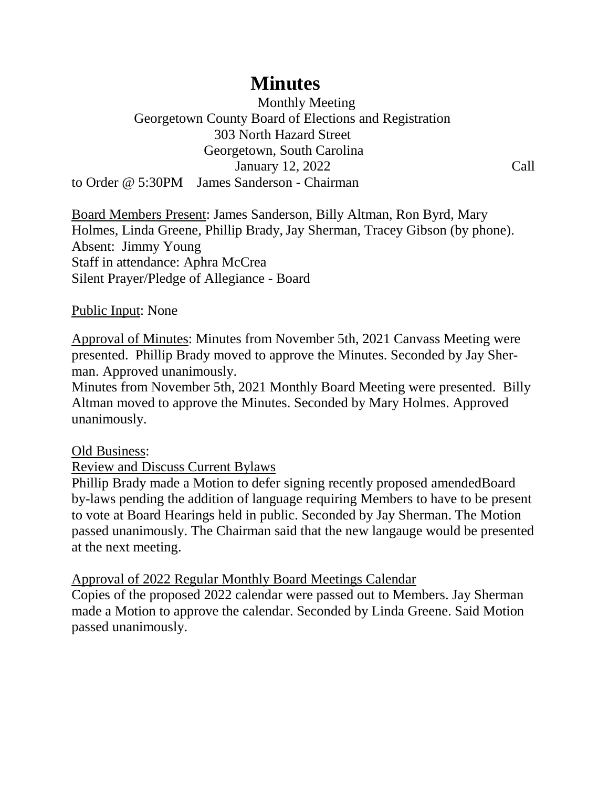# **Minutes**

 Monthly Meeting Georgetown County Board of Elections and Registration 303 North Hazard Street Georgetown, South Carolina January 12, 2022 Call to Order @ 5:30PM James Sanderson - Chairman

Board Members Present: James Sanderson, Billy Altman, Ron Byrd, Mary Holmes, Linda Greene, Phillip Brady, Jay Sherman, Tracey Gibson (by phone). Absent: Jimmy Young Staff in attendance: Aphra McCrea Silent Prayer/Pledge of Allegiance - Board

# Public Input: None

Approval of Minutes: Minutes from November 5th, 2021 Canvass Meeting were presented. Phillip Brady moved to approve the Minutes. Seconded by Jay Sherman. Approved unanimously.

Minutes from November 5th, 2021 Monthly Board Meeting were presented. Billy Altman moved to approve the Minutes. Seconded by Mary Holmes. Approved unanimously.

# Old Business:

Review and Discuss Current Bylaws

Phillip Brady made a Motion to defer signing recently proposed amendedBoard by-laws pending the addition of language requiring Members to have to be present to vote at Board Hearings held in public. Seconded by Jay Sherman. The Motion passed unanimously. The Chairman said that the new langauge would be presented at the next meeting.

# Approval of 2022 Regular Monthly Board Meetings Calendar

Copies of the proposed 2022 calendar were passed out to Members. Jay Sherman made a Motion to approve the calendar. Seconded by Linda Greene. Said Motion passed unanimously.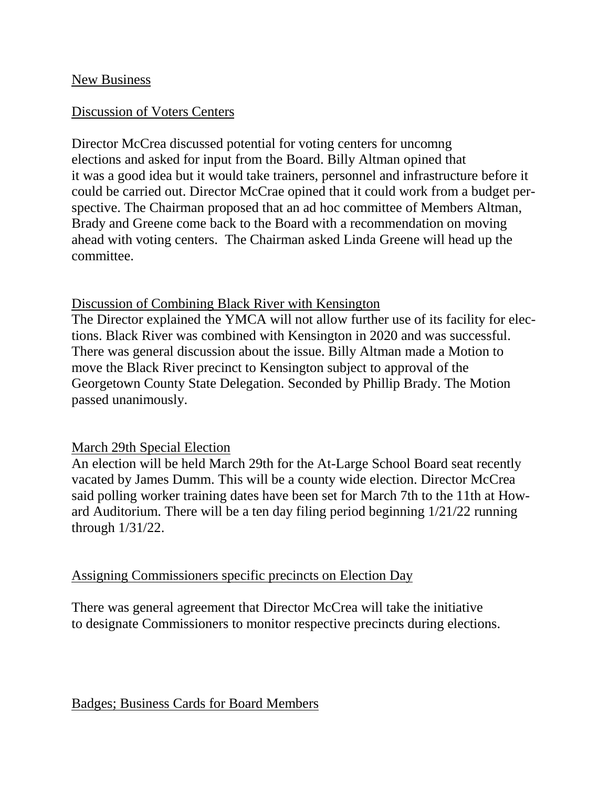#### New Business

# Discussion of Voters Centers

Director McCrea discussed potential for voting centers for uncomng elections and asked for input from the Board. Billy Altman opined that it was a good idea but it would take trainers, personnel and infrastructure before it could be carried out. Director McCrae opined that it could work from a budget perspective. The Chairman proposed that an ad hoc committee of Members Altman, Brady and Greene come back to the Board with a recommendation on moving ahead with voting centers. The Chairman asked Linda Greene will head up the committee.

#### Discussion of Combining Black River with Kensington

The Director explained the YMCA will not allow further use of its facility for elections. Black River was combined with Kensington in 2020 and was successful. There was general discussion about the issue. Billy Altman made a Motion to move the Black River precinct to Kensington subject to approval of the Georgetown County State Delegation. Seconded by Phillip Brady. The Motion passed unanimously.

# March 29th Special Election

An election will be held March 29th for the At-Large School Board seat recently vacated by James Dumm. This will be a county wide election. Director McCrea said polling worker training dates have been set for March 7th to the 11th at Howard Auditorium. There will be a ten day filing period beginning 1/21/22 running through 1/31/22.

# Assigning Commissioners specific precincts on Election Day

There was general agreement that Director McCrea will take the initiative to designate Commissioners to monitor respective precincts during elections.

# Badges; Business Cards for Board Members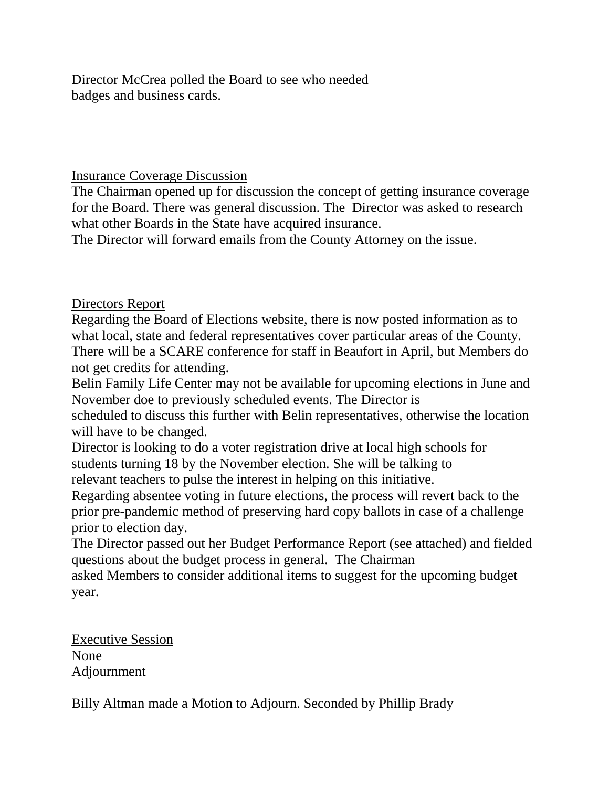Director McCrea polled the Board to see who needed badges and business cards.

# Insurance Coverage Discussion

The Chairman opened up for discussion the concept of getting insurance coverage for the Board. There was general discussion. The Director was asked to research what other Boards in the State have acquired insurance.

The Director will forward emails from the County Attorney on the issue.

Directors Report

Regarding the Board of Elections website, there is now posted information as to what local, state and federal representatives cover particular areas of the County. There will be a SCARE conference for staff in Beaufort in April, but Members do not get credits for attending.

Belin Family Life Center may not be available for upcoming elections in June and November doe to previously scheduled events. The Director is

scheduled to discuss this further with Belin representatives, otherwise the location will have to be changed.

Director is looking to do a voter registration drive at local high schools for students turning 18 by the November election. She will be talking to relevant teachers to pulse the interest in helping on this initiative.

Regarding absentee voting in future elections, the process will revert back to the prior pre-pandemic method of preserving hard copy ballots in case of a challenge prior to election day.

The Director passed out her Budget Performance Report (see attached) and fielded questions about the budget process in general. The Chairman asked Members to consider additional items to suggest for the upcoming budget

year.

Executive Session None Adjournment

Billy Altman made a Motion to Adjourn. Seconded by Phillip Brady